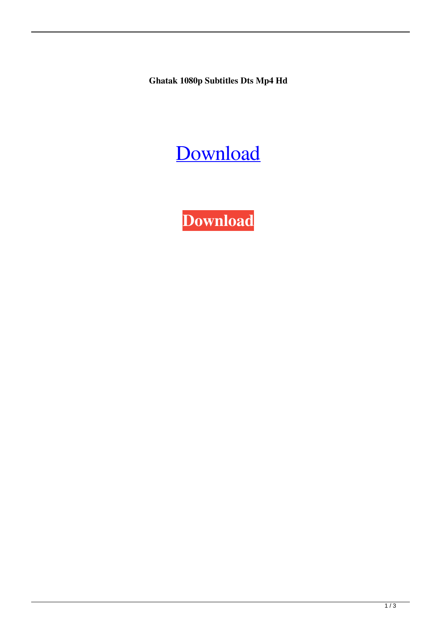**Ghatak 1080p Subtitles Dts Mp4 Hd**

## [Download](http://evacdir.com/R2hhdGFrIEhpbmRpIE1vdmllIEZ1bGwgSGQgNzIwcCAtIDQ0YmZkY20R2h.nibbling/quotient.ZG93bmxvYWR8Y24wTVdjM2EzeDhNVFkxTWpjME1EZzJObng4TWpVM05IeDhLRTBwSUhKbFlXUXRZbXh2WnlCYlJtRnpkQ0JIUlU1ZA&butches=freemason)

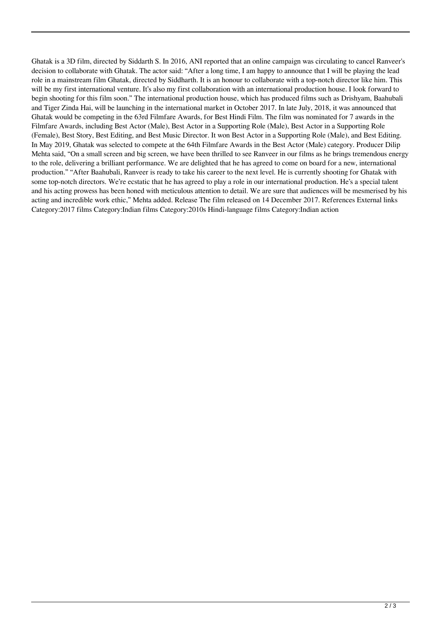Ghatak is a 3D film, directed by Siddarth S. In 2016, ANI reported that an online campaign was circulating to cancel Ranveer's decision to collaborate with Ghatak. The actor said: "After a long time, I am happy to announce that I will be playing the lead role in a mainstream film Ghatak, directed by Siddharth. It is an honour to collaborate with a top-notch director like him. This will be my first international venture. It's also my first collaboration with an international production house. I look forward to begin shooting for this film soon." The international production house, which has produced films such as Drishyam, Baahubali and Tiger Zinda Hai, will be launching in the international market in October 2017. In late July, 2018, it was announced that Ghatak would be competing in the 63rd Filmfare Awards, for Best Hindi Film. The film was nominated for 7 awards in the Filmfare Awards, including Best Actor (Male), Best Actor in a Supporting Role (Male), Best Actor in a Supporting Role (Female), Best Story, Best Editing, and Best Music Director. It won Best Actor in a Supporting Role (Male), and Best Editing. In May 2019, Ghatak was selected to compete at the 64th Filmfare Awards in the Best Actor (Male) category. Producer Dilip Mehta said, "On a small screen and big screen, we have been thrilled to see Ranveer in our films as he brings tremendous energy to the role, delivering a brilliant performance. We are delighted that he has agreed to come on board for a new, international production." "After Baahubali, Ranveer is ready to take his career to the next level. He is currently shooting for Ghatak with some top-notch directors. We're ecstatic that he has agreed to play a role in our international production. He's a special talent and his acting prowess has been honed with meticulous attention to detail. We are sure that audiences will be mesmerised by his acting and incredible work ethic," Mehta added. Release The film released on 14 December 2017. References External links Category:2017 films Category:Indian films Category:2010s Hindi-language films Category:Indian action